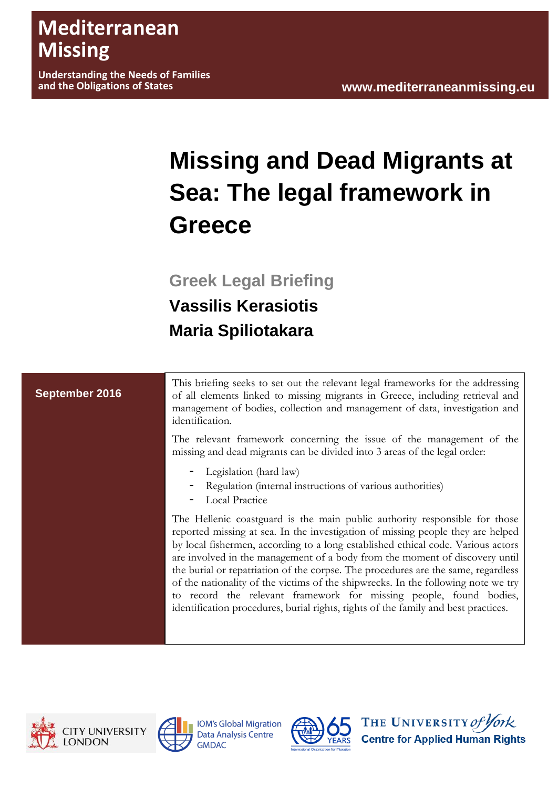**Understanding the Needs of Families** 

# **Missing and Dead Migrants at Sea: The legal framework in Greece**

**Greek Legal Briefing** 

## **Vassilis Kerasiotis Maria Spiliotakara**

## **September 2016**

This briefing seeks to set out the relevant legal frameworks for the addressing of all elements linked to missing migrants in Greece, including retrieval and management of bodies, collection and management of data, investigation and identification.

The relevant framework concerning the issue of the management of the missing and dead migrants can be divided into 3 areas of the legal order:

- Legislation (hard law)
- Regulation (internal instructions of various authorities)
- Local Practice

The Hellenic coastguard is the main public authority responsible for those reported missing at sea. In the investigation of missing people they are helped by local fishermen, according to a long established ethical code. Various actors are involved in the management of a body from the moment of discovery until the burial or repatriation of the corpse. The procedures are the same, regardless of the nationality of the victims of the shipwrecks. In the following note we try to record the relevant framework for missing people, found bodies, identification procedures, burial rights, rights of the family and best practices.





**IOM's Global Migration Data Analysis Centre GMDAC** 



THE UNIVERSITY of York **Centre for Applied Human Rights**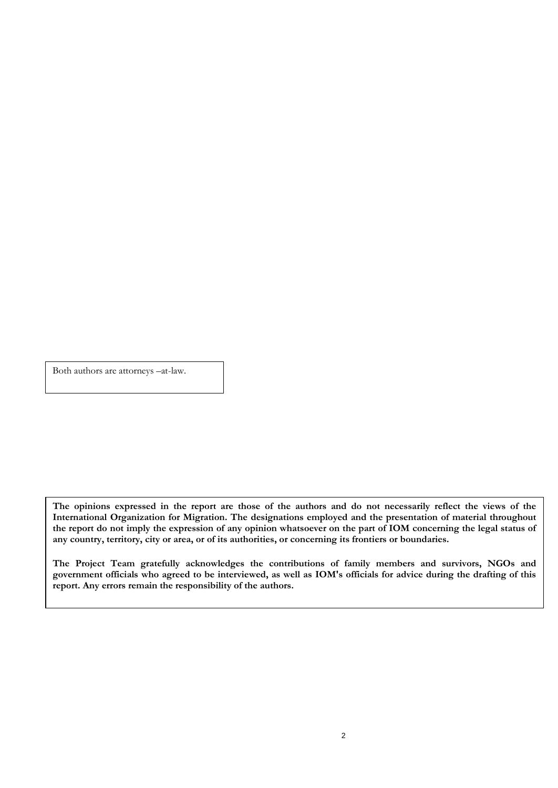Both authors are attorneys –at-law.

**The opinions expressed in the report are those of the authors and do not necessarily reflect the views of the International Organization for Migration. The designations employed and the presentation of material throughout the report do not imply the expression of any opinion whatsoever on the part of IOM concerning the legal status of any country, territory, city or area, or of its authorities, or concerning its frontiers or boundaries.**

**The Project Team gratefully acknowledges the contributions of family members and survivors, NGOs and government officials who agreed to be interviewed, as well as IOM's officials for advice during the drafting of this report. Any errors remain the responsibility of the authors.**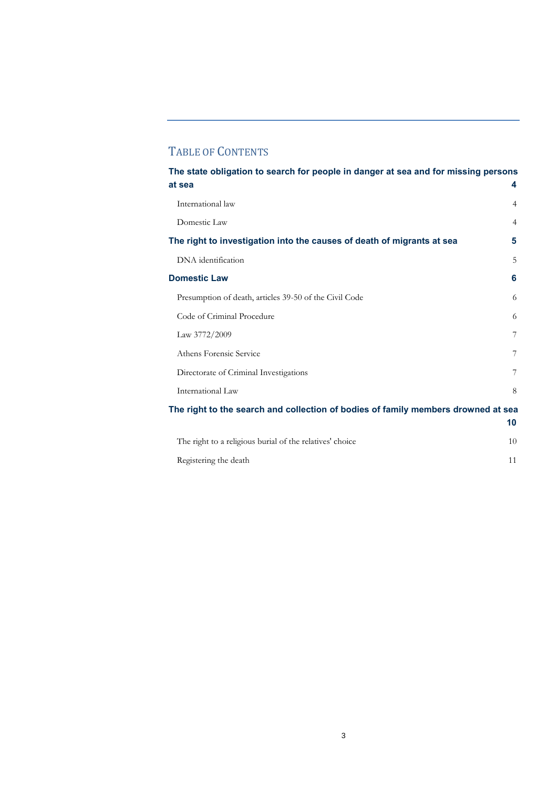## TABLE OF CONTENTS

| The state obligation to search for people in danger at sea and for missing persons<br>at sea | 4              |
|----------------------------------------------------------------------------------------------|----------------|
| International law                                                                            | $\overline{4}$ |
| Domestic Law                                                                                 | $\overline{4}$ |
| The right to investigation into the causes of death of migrants at sea                       | 5              |
| DNA identification                                                                           | 5              |
| <b>Domestic Law</b>                                                                          | 6              |
| Presumption of death, articles 39-50 of the Civil Code                                       | 6              |
| Code of Criminal Procedure                                                                   | 6              |
| Law 3772/2009                                                                                | 7              |
| Athens Forensic Service                                                                      | 7              |
| Directorate of Criminal Investigations                                                       | 7              |
| International Law                                                                            | 8              |
| The right to the search and collection of bodies of family members drowned at sea            |                |
|                                                                                              | 10             |
| The right to a religious burial of the relatives' choice                                     | 10             |
| Registering the death                                                                        | 11             |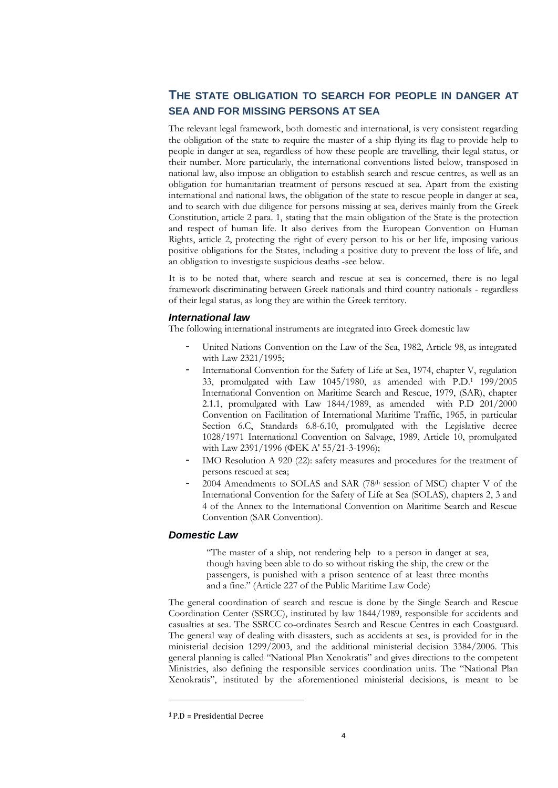## <span id="page-3-0"></span>**THE STATE OBLIGATION TO SEARCH FOR PEOPLE IN DANGER AT SEA AND FOR MISSING PERSONS AT SEA**

The relevant legal framework, both domestic and international, is very consistent regarding the obligation of the state to require the master of a ship flying its flag to provide help to people in danger at sea, regardless of how these people are travelling, their legal status, or their number. More particularly, the international conventions listed below, transposed in national law, also impose an obligation to establish search and rescue centres, as well as an obligation for humanitarian treatment of persons rescued at sea. Apart from the existing international and national laws, the obligation of the state to rescue people in danger at sea, and to search with due diligence for persons missing at sea, derives mainly from the Greek Constitution, article 2 para. 1, stating that the main obligation of the State is the protection and respect of human life. It also derives from the European Convention on Human Rights, article 2, protecting the right of every person to his or her life, imposing various positive obligations for the States, including a positive duty to prevent the loss of life, and an obligation to investigate suspicious deaths -see below.

It is to be noted that, where search and rescue at sea is concerned, there is no legal framework discriminating between Greek nationals and third country nationals - regardless of their legal status, as long they are within the Greek territory.

#### <span id="page-3-1"></span>*International law*

The following international instruments are integrated into Greek domestic law

- United Nations Convention on the Law of the Sea, 1982, Article 98, as integrated with Law 2321/1995;
- International Convention for the Safety of Life at Sea, 1974, chapter V, regulation 33, promulgated with Law 1045/1980, as amended with P.D. <sup>1</sup> 199/2005 International Convention on Maritime Search and Rescue, 1979, (SAR), chapter 2.1.1, promulgated with Law 1844/1989, as amended with P.D 201/2000 Convention on Facilitation of International Maritime Traffic, 1965, in particular Section 6.C, Standards 6.8-6.10, promulgated with the Legislative decree 1028/1971 International Convention on Salvage, 1989, Article 10, promulgated with Law 2391/1996 (ΦΕΚ Α' 55/21-3-1996);
- IMO Resolution A 920 (22): safety measures and procedures for the treatment of persons rescued at sea;
- 2004 Amendments to SOLAS and SAR (78<sup>th</sup> session of MSC) chapter V of the International Convention for the Safety of Life at Sea (SOLAS), chapters 2, 3 and 4 of the Annex to the International Convention on Maritime Search and Rescue Convention (SAR Convention).

#### <span id="page-3-2"></span>*Domestic Law*

"The master of a ship, not rendering help to a person in danger at sea, though having been able to do so without risking the ship, the crew or the passengers, is punished with a prison sentence of at least three months and a fine." (Article 227 of the Public Maritime Law Code)

The general coordination of search and rescue is done by the Single Search and Rescue Coordination Center (SSRCC), instituted by law 1844/1989, responsible for accidents and casualties at sea. The SSRCC co-ordinates Search and Rescue Centres in each Coastguard. The general way of dealing with disasters, such as accidents at sea, is provided for in the ministerial decision 1299/2003, and the additional ministerial decision 3384/2006. This general planning is called "National Plan Xenokratis" and gives directions to the competent Ministries, also defining the responsible services coordination units. The "National Plan Xenokratis", instituted by the aforementioned ministerial decisions, is meant to be

-

<sup>1</sup> P.D = Presidential Decree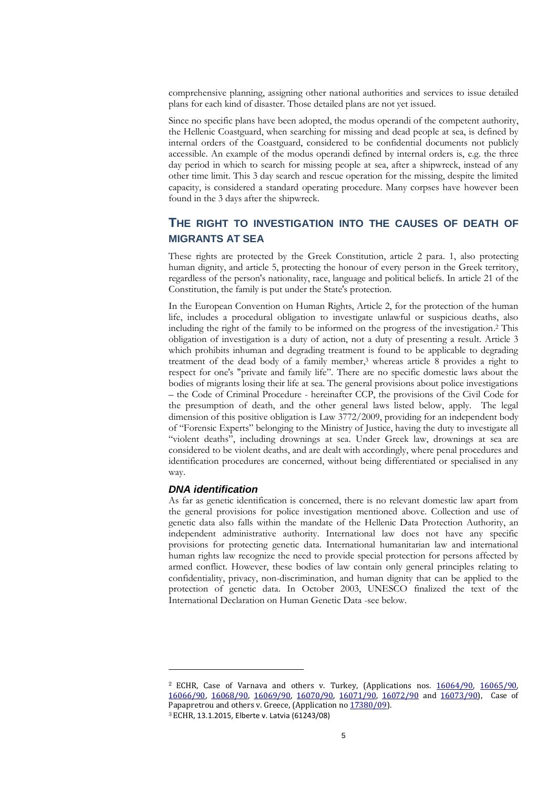comprehensive planning, assigning other national authorities and services to issue detailed plans for each kind of disaster. Those detailed plans are not yet issued.

Since no specific plans have been adopted, the modus operandi of the competent authority, the Hellenic Coastguard, when searching for missing and dead people at sea, is defined by internal orders of the Coastguard, considered to be confidential documents not publicly accessible. An example of the modus operandi defined by internal orders is, e.g. the three day period in which to search for missing people at sea, after a shipwreck, instead of any other time limit. This 3 day search and rescue operation for the missing, despite the limited capacity, is considered a standard operating procedure. Many corpses have however been found in the 3 days after the shipwreck.

## <span id="page-4-0"></span>**THE RIGHT TO INVESTIGATION INTO THE CAUSES OF DEATH OF MIGRANTS AT SEA**

These rights are protected by the Greek Constitution, article 2 para. 1, also protecting human dignity, and article 5, protecting the honour of every person in the Greek territory, regardless of the person's nationality, race, language and political beliefs. In article 21 of the Constitution, the family is put under the State's protection.

In the European Convention on Human Rights, Article 2, for the protection of the human life, includes a procedural obligation to investigate unlawful or suspicious deaths, also including the right of the family to be informed on the progress of the investigation. <sup>2</sup> This obligation of investigation is a duty of action, not a duty of presenting a result. Article 3 which prohibits inhuman and degrading treatment is found to be applicable to degrading treatment of the dead body of a family member, <sup>3</sup> whereas article 8 provides a right to respect for one's "private and family life". There are no specific domestic laws about the bodies of migrants losing their life at sea. The general provisions about police investigations – the Code of Criminal Procedure - hereinafter CCP, the provisions of the Civil Code for the presumption of death, and the other general laws listed below, apply. The legal dimension of this positive obligation is Law 3772/2009, providing for an independent body of "Forensic Experts" belonging to the Ministry of Justice, having the duty to investigate all "violent deaths", including drownings at sea. Under Greek law, drownings at sea are considered to be violent deaths, and are dealt with accordingly, where penal procedures and identification procedures are concerned, without being differentiated or specialised in any way.

#### <span id="page-4-1"></span>*DNA identification*

**.** 

As far as genetic identification is concerned, there is no relevant domestic law apart from the general provisions for police investigation mentioned above. Collection and use of genetic data also falls within the mandate of the Hellenic Data Protection Authority, an independent administrative authority. International law does not have any specific provisions for protecting genetic data. International humanitarian law and international human rights law recognize the need to provide special protection for persons affected by armed conflict. However, these bodies of law contain only general principles relating to confidentiality, privacy, non-discrimination, and human dignity that can be applied to the protection of genetic data. In October 2003, UNESCO finalized the text of the International Declaration on Human Genetic Data -see below.

<sup>&</sup>lt;sup>2</sup> ECHR, Case of Varnava and others v. Turkey, (Applications nos. 16064/90, 16065/90, [16066/90, 16068/90, 16069/90, 16070/90, 16071/90, 16072/90](http://hudoc.echr.coe.int/eng%23%257B) and [16073/90\)](http://hudoc.echr.coe.int/eng%23%257B), Case of Papapretrou and others v. Greece, (Application n[o 17380/09\)](http://hudoc.echr.coe.int/eng%23%257B). <sup>3</sup> ECHR, 13.1.2015, Elberte v. Latvia (61243/08)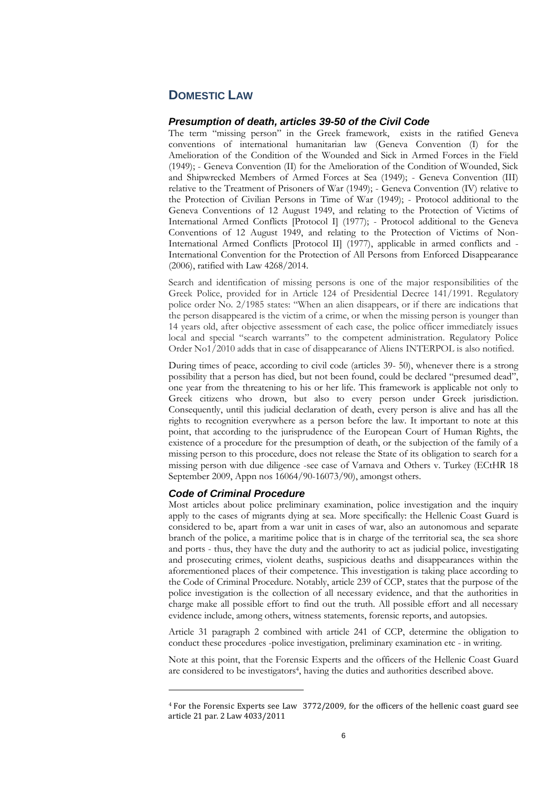## <span id="page-5-0"></span>**DOMESTIC LAW**

#### <span id="page-5-1"></span>*Presumption of death, articles 39-50 of the Civil Code*

The term "missing person" in the Greek framework, exists in the ratified Geneva conventions of international humanitarian law (Geneva Convention (I) for the Amelioration of the Condition of the Wounded and Sick in Armed Forces in the Field (1949); - Geneva Convention (II) for the Amelioration of the Condition of Wounded, Sick and Shipwrecked Members of Armed Forces at Sea (1949); - Geneva Convention (III) relative to the Treatment of Prisoners of War (1949); - Geneva Convention (IV) relative to the Protection of Civilian Persons in Time of War (1949); - Protocol additional to the Geneva Conventions of 12 August 1949, and relating to the Protection of Victims of International Armed Conflicts [Protocol I] (1977); - Protocol additional to the Geneva Conventions of 12 August 1949, and relating to the Protection of Victims of Non-International Armed Conflicts [Protocol II] (1977), applicable in armed conflicts and - International Convention for the Protection of All Persons from Enforced Disappearance (2006), ratified with Law 4268/2014.

Search and identification of missing persons is one of the major responsibilities of the Greek Police, provided for in Article 124 of Presidential Decree 141/1991. Regulatory police order No. 2/1985 states: "When an alien disappears, or if there are indications that the person disappeared is the victim of a crime, or when the missing person is younger than 14 years old, after objective assessment of each case, the police officer immediately issues local and special "search warrants" to the competent administration. Regulatory Police Order No1/2010 adds that in case of disappearance of Aliens INTERPOL is also notified.

During times of peace, according to civil code (articles 39- 50), whenever there is a strong possibility that a person has died, but not been found, could be declared "presumed dead", one year from the threatening to his or her life. This framework is applicable not only to Greek citizens who drown, but also to every person under Greek jurisdiction. Consequently, until this judicial declaration of death, every person is alive and has all the rights to recognition everywhere as a person before the law. It important to note at this point, that according to the jurisprudence of the European Court of Human Rights, the existence of a procedure for the presumption of death, or the subjection of the family of a missing person to this procedure, does not release the State of its obligation to search for a missing person with due diligence -see case of Varnava and Others v. Turkey (ECtHR 18 September 2009, Appn nos 16064/90-16073/90), amongst others.

#### <span id="page-5-2"></span>*Code of Criminal Procedure*

-

Most articles about police preliminary examination, police investigation and the inquiry apply to the cases of migrants dying at sea. More specifically: the Hellenic Coast Guard is considered to be, apart from a war unit in cases of war, also an autonomous and separate branch of the police, a maritime police that is in charge of the territorial sea, the sea shore and ports - thus, they have the duty and the authority to act as judicial police, investigating and prosecuting crimes, violent deaths, suspicious deaths and disappearances within the aforementioned places of their competence. This investigation is taking place according to the Code of Criminal Procedure. Notably, article 239 of CCP, states that the purpose of the police investigation is the collection of all necessary evidence, and that the authorities in charge make all possible effort to find out the truth. All possible effort and all necessary evidence include, among others, witness statements, forensic reports, and autopsies.

Article 31 paragraph 2 combined with article 241 of CCP, determine the obligation to conduct these procedures -police investigation, preliminary examination etc - in writing.

Note at this point, that the Forensic Experts and the officers of the Hellenic Coast Guard are considered to be investigators<sup>4</sup>, having the duties and authorities described above.

<sup>4</sup> For the Forensic Experts see Law 3772/2009, for the officers of the hellenic coast guard see article 21 par. 2 Law 4033/2011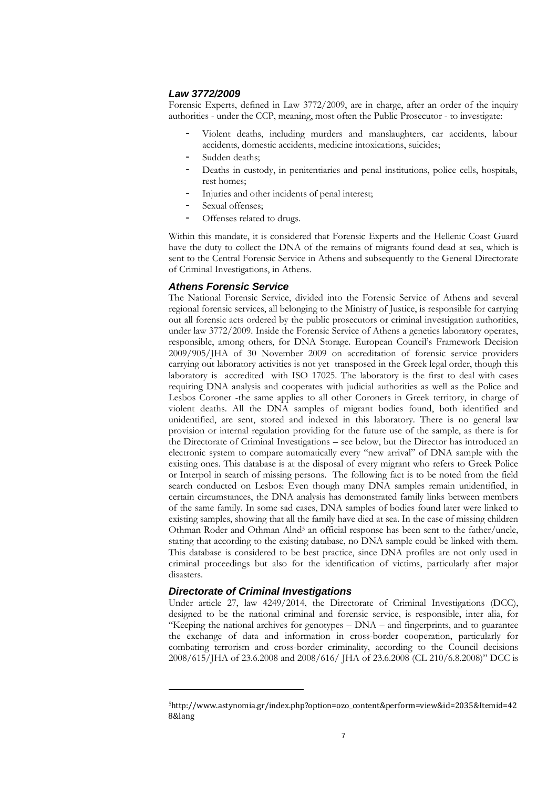#### <span id="page-6-0"></span>*Law 3772/2009*

Forensic Experts, defined in Law 3772/2009, are in charge, after an order of the inquiry authorities - under the CCP, meaning, most often the Public Prosecutor - to investigate:

- Violent deaths, including murders and manslaughters, car accidents, labour accidents, domestic accidents, medicine intoxications, suicides;
- Sudden deaths;
- Deaths in custody, in penitentiaries and penal institutions, police cells, hospitals, rest homes;
- Injuries and other incidents of penal interest;
- Sexual offenses;
- Offenses related to drugs.

Within this mandate, it is considered that Forensic Experts and the Hellenic Coast Guard have the duty to collect the DNA of the remains of migrants found dead at sea, which is sent to the Central Forensic Service in Athens and subsequently to the General Directorate of Criminal Investigations, in Athens.

#### <span id="page-6-1"></span>*Athens Forensic Service*

The National Forensic Service, divided into the Forensic Service of Athens and several regional forensic services, all belonging to the Ministry of Justice, is responsible for carrying out all forensic acts ordered by the public prosecutors or criminal investigation authorities, under law 3772/2009. Inside the Forensic Service of Athens a genetics laboratory operates, responsible, among others, for DNA Storage. European Council's Framework Decision 2009/905/JHA of 30 November 2009 on accreditation of forensic service providers carrying out laboratory activities is not yet transposed in the Greek legal order, though this laboratory is accredited with ISO 17025. The laboratory is the first to deal with cases requiring DNA analysis and cooperates with judicial authorities as well as the Police and Lesbos Coroner -the same applies to all other Coroners in Greek territory, in charge of violent deaths. All the DNA samples of migrant bodies found, both identified and unidentified, are sent, stored and indexed in this laboratory. There is no general law provision or internal regulation providing for the future use of the sample, as there is for the Directorate of Criminal Investigations – see below, but the Director has introduced an electronic system to compare automatically every "new arrival" of DNA sample with the existing ones. This database is at the disposal of every migrant who refers to Greek Police or Interpol in search of missing persons. The following fact is to be noted from the field search conducted on Lesbos: Even though many DNA samples remain unidentified, in certain circumstances, the DNA analysis has demonstrated family links between members of the same family. In some sad cases, DNA samples of bodies found later were linked to existing samples, showing that all the family have died at sea. In the case of missing children Othman Roder and Othman Alnd<sup>5</sup> an official response has been sent to the father/uncle, stating that according to the existing database, no DNA sample could be linked with them. This database is considered to be best practice, since DNA profiles are not only used in criminal proceedings but also for the identification of victims, particularly after major disasters.

#### <span id="page-6-2"></span>*Directorate of Criminal Investigations*

-

Under article 27, law 4249/2014, the Directorate of Criminal Investigations (DCC), designed to be the national criminal and forensic service, is responsible, inter alia, for "Keeping the national archives for genotypes – DNA – and fingerprints, and to guarantee the exchange of data and information in cross-border cooperation, particularly for combating terrorism and cross-border criminality, according to the Council decisions 2008/615/JHA of 23.6.2008 and 2008/616/ JHA of 23.6.2008 (CL 210/6.8.2008)" DCC is

<sup>5</sup>http://www.astynomia.gr/index.php?option=ozo\_content&perform=view&id=2035&Itemid=42 8&lang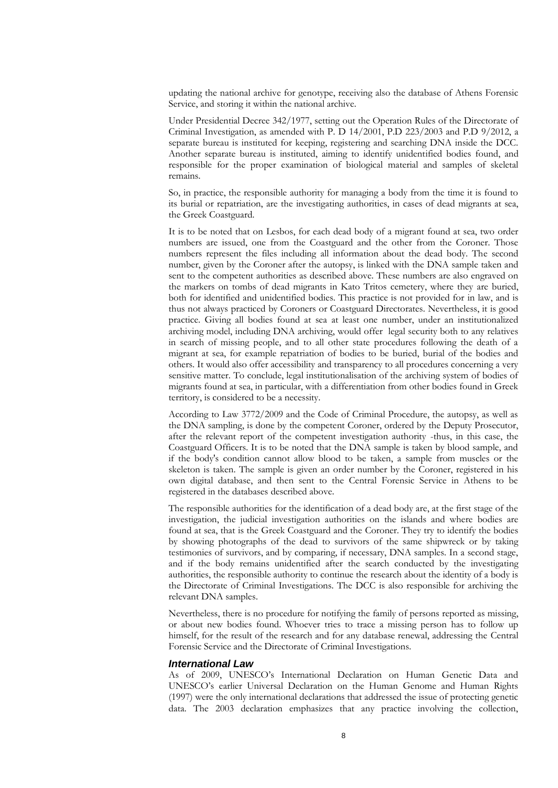updating the national archive for genotype, receiving also the database of Athens Forensic Service, and storing it within the national archive.

Under Presidential Decree 342/1977, setting out the Operation Rules of the Directorate of Criminal Investigation, as amended with P. D 14/2001, P.D 223/2003 and P.D 9/2012, a separate bureau is instituted for keeping, registering and searching DNA inside the DCC. Another separate bureau is instituted, aiming to identify unidentified bodies found, and responsible for the proper examination of biological material and samples of skeletal remains.

So, in practice, the responsible authority for managing a body from the time it is found to its burial or repatriation, are the investigating authorities, in cases of dead migrants at sea, the Greek Coastguard.

It is to be noted that on Lesbos, for each dead body of a migrant found at sea, two order numbers are issued, one from the Coastguard and the other from the Coroner. Those numbers represent the files including all information about the dead body. The second number, given by the Coroner after the autopsy, is linked with the DNA sample taken and sent to the competent authorities as described above. These numbers are also engraved on the markers on tombs of dead migrants in Kato Tritos cemetery, where they are buried, both for identified and unidentified bodies. This practice is not provided for in law, and is thus not always practiced by Coroners or Coastguard Directorates. Nevertheless, it is good practice. Giving all bodies found at sea at least one number, under an institutionalized archiving model, including DNA archiving, would offer legal security both to any relatives in search of missing people, and to all other state procedures following the death of a migrant at sea, for example repatriation of bodies to be buried, burial of the bodies and others. It would also offer accessibility and transparency to all procedures concerning a very sensitive matter. To conclude, legal institutionalisation of the archiving system of bodies of migrants found at sea, in particular, with a differentiation from other bodies found in Greek territory, is considered to be a necessity.

According to Law 3772/2009 and the Code of Criminal Procedure, the autopsy, as well as the DNA sampling, is done by the competent Coroner, ordered by the Deputy Prosecutor, after the relevant report of the competent investigation authority -thus, in this case, the Coastguard Officers. It is to be noted that the DNA sample is taken by blood sample, and if the body's condition cannot allow blood to be taken, a sample from muscles or the skeleton is taken. The sample is given an order number by the Coroner, registered in his own digital database, and then sent to the Central Forensic Service in Athens to be registered in the databases described above.

The responsible authorities for the identification of a dead body are, at the first stage of the investigation, the judicial investigation authorities on the islands and where bodies are found at sea, that is the Greek Coastguard and the Coroner. They try to identify the bodies by showing photographs of the dead to survivors of the same shipwreck or by taking testimonies of survivors, and by comparing, if necessary, DNA samples. In a second stage, and if the body remains unidentified after the search conducted by the investigating authorities, the responsible authority to continue the research about the identity of a body is the Directorate of Criminal Investigations. The DCC is also responsible for archiving the relevant DNA samples.

Nevertheless, there is no procedure for notifying the family of persons reported as missing, or about new bodies found. Whoever tries to trace a missing person has to follow up himself, for the result of the research and for any database renewal, addressing the Central Forensic Service and the Directorate of Criminal Investigations.

#### <span id="page-7-0"></span>*International Law*

As of 2009, UNESCO's International Declaration on Human Genetic Data and UNESCO's earlier Universal Declaration on the Human Genome and Human Rights (1997) were the only international declarations that addressed the issue of protecting genetic data. The 2003 declaration emphasizes that any practice involving the collection,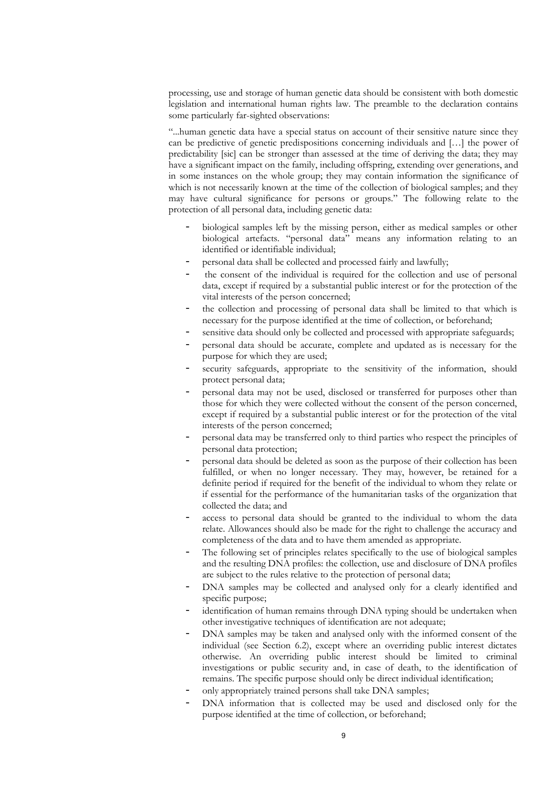processing, use and storage of human genetic data should be consistent with both domestic legislation and international human rights law. The preamble to the declaration contains some particularly far-sighted observations:

"...human genetic data have a special status on account of their sensitive nature since they can be predictive of genetic predispositions concerning individuals and […] the power of predictability [sic] can be stronger than assessed at the time of deriving the data; they may have a significant impact on the family, including offspring, extending over generations, and in some instances on the whole group; they may contain information the significance of which is not necessarily known at the time of the collection of biological samples; and they may have cultural significance for persons or groups." The following relate to the protection of all personal data, including genetic data:

- biological samples left by the missing person, either as medical samples or other biological artefacts. "personal data" means any information relating to an identified or identifiable individual;
- personal data shall be collected and processed fairly and lawfully;
- the consent of the individual is required for the collection and use of personal data, except if required by a substantial public interest or for the protection of the vital interests of the person concerned;
- the collection and processing of personal data shall be limited to that which is necessary for the purpose identified at the time of collection, or beforehand;
- sensitive data should only be collected and processed with appropriate safeguards;
- personal data should be accurate, complete and updated as is necessary for the purpose for which they are used;
- security safeguards, appropriate to the sensitivity of the information, should protect personal data;
- personal data may not be used, disclosed or transferred for purposes other than those for which they were collected without the consent of the person concerned, except if required by a substantial public interest or for the protection of the vital interests of the person concerned;
- personal data may be transferred only to third parties who respect the principles of personal data protection;
- personal data should be deleted as soon as the purpose of their collection has been fulfilled, or when no longer necessary. They may, however, be retained for a definite period if required for the benefit of the individual to whom they relate or if essential for the performance of the humanitarian tasks of the organization that collected the data; and
- access to personal data should be granted to the individual to whom the data relate. Allowances should also be made for the right to challenge the accuracy and completeness of the data and to have them amended as appropriate.
- The following set of principles relates specifically to the use of biological samples and the resulting DNA profiles: the collection, use and disclosure of DNA profiles are subject to the rules relative to the protection of personal data;
- DNA samples may be collected and analysed only for a clearly identified and specific purpose;
- identification of human remains through DNA typing should be undertaken when other investigative techniques of identification are not adequate;
- DNA samples may be taken and analysed only with the informed consent of the individual (see Section 6.2), except where an overriding public interest dictates otherwise. An overriding public interest should be limited to criminal investigations or public security and, in case of death, to the identification of remains. The specific purpose should only be direct individual identification;
- only appropriately trained persons shall take DNA samples;
- DNA information that is collected may be used and disclosed only for the purpose identified at the time of collection, or beforehand;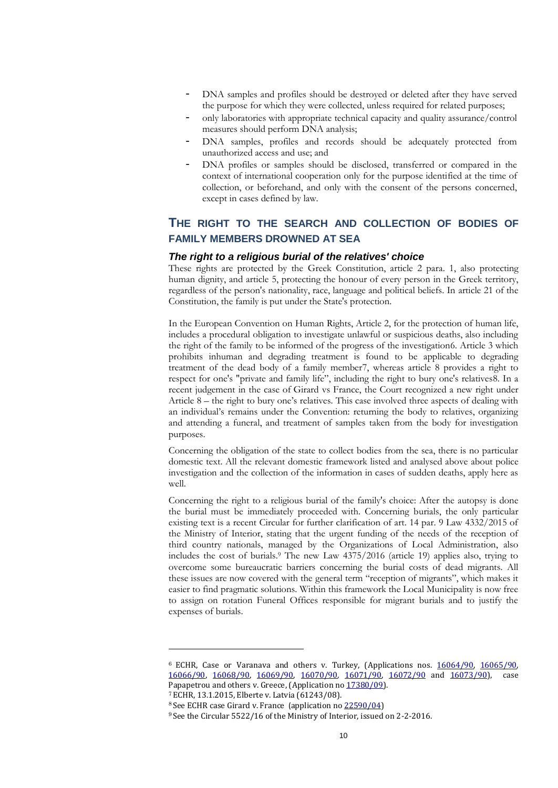- DNA samples and profiles should be destroyed or deleted after they have served the purpose for which they were collected, unless required for related purposes;
- only laboratories with appropriate technical capacity and quality assurance/control measures should perform DNA analysis;
- DNA samples, profiles and records should be adequately protected from unauthorized access and use; and
- DNA profiles or samples should be disclosed, transferred or compared in the context of international cooperation only for the purpose identified at the time of collection, or beforehand, and only with the consent of the persons concerned, except in cases defined by law.

## <span id="page-9-0"></span>**THE RIGHT TO THE SEARCH AND COLLECTION OF BODIES OF FAMILY MEMBERS DROWNED AT SEA**

#### <span id="page-9-1"></span>*The right to a religious burial of the relatives' choice*

These rights are protected by the Greek Constitution, article 2 para. 1, also protecting human dignity, and article 5, protecting the honour of every person in the Greek territory, regardless of the person's nationality, race, language and political beliefs. In article 21 of the Constitution, the family is put under the State's protection.

In the European Convention on Human Rights, Article 2, for the protection of human life, includes a procedural obligation to investigate unlawful or suspicious deaths, also including the right of the family to be informed of the progress of the investigation6. Article 3 which prohibits inhuman and degrading treatment is found to be applicable to degrading treatment of the dead body of a family member7, whereas article 8 provides a right to respect for one's "private and family life", including the right to bury one's relatives8. In a recent judgement in the case of Girard vs France, the Court recognized a new right under Article 8 – the right to bury one's relatives. This case involved three aspects of dealing with an individual's remains under the Convention: returning the body to relatives, organizing and attending a funeral, and treatment of samples taken from the body for investigation purposes.

Concerning the obligation of the state to collect bodies from the sea, there is no particular domestic text. All the relevant domestic framework listed and analysed above about police investigation and the collection of the information in cases of sudden deaths, apply here as well.

Concerning the right to a religious burial of the family's choice: After the autopsy is done the burial must be immediately proceeded with. Concerning burials, the only particular existing text is a recent Circular for further clarification of art. 14 par. 9 Law 4332/2015 of the Ministry of Interior, stating that the urgent funding of the needs of the reception of third country nationals, managed by the Organizations of Local Administration, also includes the cost of burials. <sup>9</sup> The new Law 4375/2016 (article 19) applies also, trying to overcome some bureaucratic barriers concerning the burial costs of dead migrants. All these issues are now covered with the general term "reception of migrants", which makes it easier to find pragmatic solutions. Within this framework the Local Municipality is now free to assign on rotation Funeral Offices responsible for migrant burials and to justify the expenses of burials.

**.** 

<sup>&</sup>lt;sup>6</sup> ECHR, Case or Varanava and others v. Turkey, (Applications nos. 16064/90, 16065/90, [16066/90, 16068/90, 16069/90, 16070/90, 16071/90, 16072/90](http://hudoc.echr.coe.int/eng%23%257B) and [16073/90\)](http://hudoc.echr.coe.int/eng%23%257B), case Papapetrou and others v. Greece, (Application n[o 17380/09\)](http://hudoc.echr.coe.int/eng%23%257B).

<sup>7</sup> ECHR, 13.1.2015, Elberte v. Latvia (61243/08).

<sup>8</sup> See ECHR case Girard v. France (application n[o 22590/04\)](http://hudoc.echr.coe.int/eng%23%257B)

<sup>9</sup> See the Circular 5522/16 of the Ministry of Interior, issued on 2-2-2016.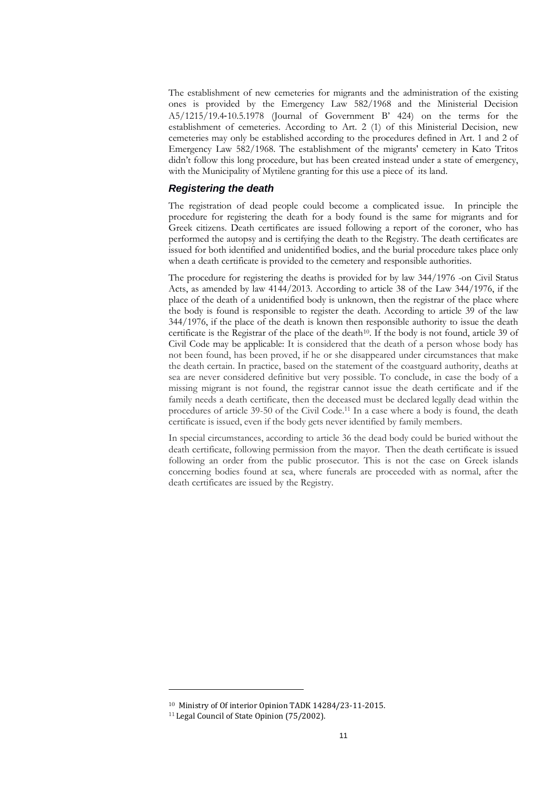The establishment of new cemeteries for migrants and the administration of the existing ones is provided by the Emergency Law 582/1968 and the Ministerial Decision A5/1215/19.4‐10.5.1978 (Journal of Government B' 424) on the terms for the establishment of cemeteries. According to Art. 2 (1) of this Ministerial Decision, new cemeteries may only be established according to the procedures defined in Art. 1 and 2 of Emergency Law 582/1968. The establishment of the migrants' cemetery in Kato Tritos didn't follow this long procedure, but has been created instead under a state of emergency, with the Municipality of Mytilene granting for this use a piece of its land.

#### <span id="page-10-0"></span>*Registering the death*

The registration of dead people could become a complicated issue. In principle the procedure for registering the death for a body found is the same for migrants and for Greek citizens. Death certificates are issued following a report of the coroner, who has performed the autopsy and is certifying the death to the Registry. The death certificates are issued for both identified and unidentified bodies, and the burial procedure takes place only when a death certificate is provided to the cemetery and responsible authorities.

The procedure for registering the deaths is provided for by law 344/1976 -on Civil Status Acts, as amended by law 4144/2013. According to article 38 of the Law 344/1976, if the place of the death of a unidentified body is unknown, then the registrar of the place where the body is found is responsible to register the death. According to article 39 of the law 344/1976, if the place of the death is known then responsible authority to issue the death certificate is the Registrar of the place of the death<sup>10</sup>. If the body is not found, article 39 of Civil Code may be applicable: It is considered that the death of a person whose body has not been found, has been proved, if he or she disappeared under circumstances that make the death certain. In practice, based on the statement of the coastguard authority, deaths at sea are never considered definitive but very possible. To conclude, in case the body of a missing migrant is not found, the registrar cannot issue the death certificate and if the family needs a death certificate, then the deceased must be declared legally dead within the procedures of article 39-50 of the Civil Code.<sup>11</sup> In a case where a body is found, the death certificate is issued, even if the body gets never identified by family members.

In special circumstances, according to article 36 the dead body could be buried without the death certificate, following permission from the mayor. Then the death certificate is issued following an order from the public prosecutor. This is not the case on Greek islands concerning bodies found at sea, where funerals are proceeded with as normal, after the death certificates are issued by the Registry.

-

<sup>10</sup> Ministry of Of interior Opinion TADK 14284/23-11-2015.

<sup>&</sup>lt;sup>11</sup> Legal Council of State Opinion (75/2002).